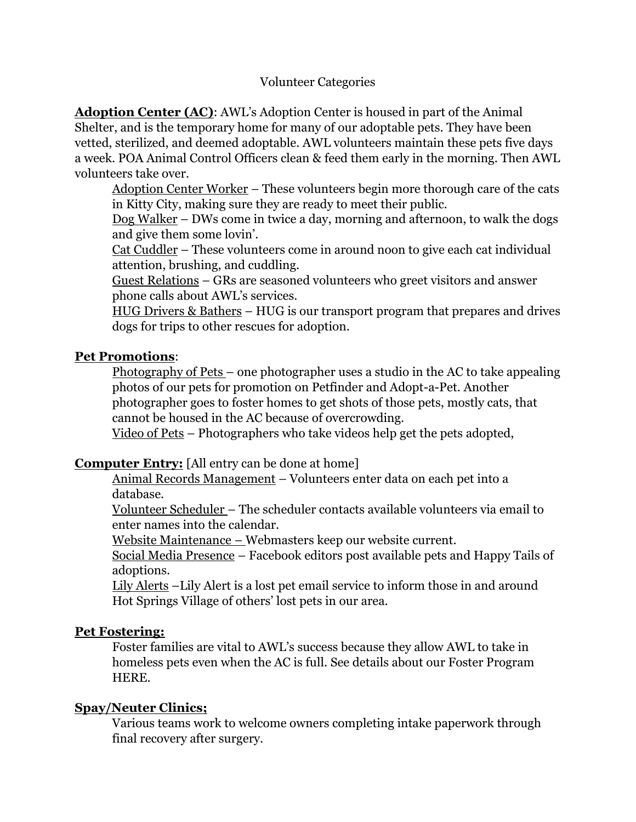**Adoption Center (AC)**: AWL's Adoption Center is housed in part of the Animal Shelter, and is the temporary home for many of our adoptable pets. They have been vetted, sterilized, and deemed adoptable. AWL volunteers maintain these pets five days a week. POA Animal Control Officers clean & feed them early in the morning. Then AWL volunteers take over.

Adoption Center Worker – These volunteers begin more thorough care of the cats in Kitty City, making sure they are ready to meet their public.

Dog Walker – DWs come in twice a day, morning and afternoon, to walk the dogs and give them some lovin'.

Cat Cuddler – These volunteers come in around noon to give each cat individual attention, brushing, and cuddling.

Guest Relations – GRs are seasoned volunteers who greet visitors and answer phone calls about AWL's services.

HUG Drivers & Bathers – HUG is our transport program that prepares and drives dogs for trips to other rescues for adoption.

# **Pet Promotions**:

Photography of Pets – one photographer uses a studio in the AC to take appealing photos of our pets for promotion on Petfinder and Adopt-a-Pet. Another photographer goes to foster homes to get shots of those pets, mostly cats, that cannot be housed in the AC because of overcrowding.

Video of Pets – Photographers who take videos help get the pets adopted,

## **Computer Entry:** [All entry can be done at home]

Animal Records Management – Volunteers enter data on each pet into a database.

Volunteer Scheduler – The scheduler contacts available volunteers via email to enter names into the calendar.

Website Maintenance – Webmasters keep our website current.

Social Media Presence – Facebook editors post available pets and Happy Tails of adoptions.

Lily Alerts –Lily Alert is a lost pet email service to inform those in and around Hot Springs Village of others' lost pets in our area.

## **Pet Fostering:**

Foster families are vital to AWL's success because they allow AWL to take in homeless pets even when the AC is full. See details about our Foster Program HERE.

## **Spay/Neuter Clinics;**

Various teams work to welcome owners completing intake paperwork through final recovery after surgery.